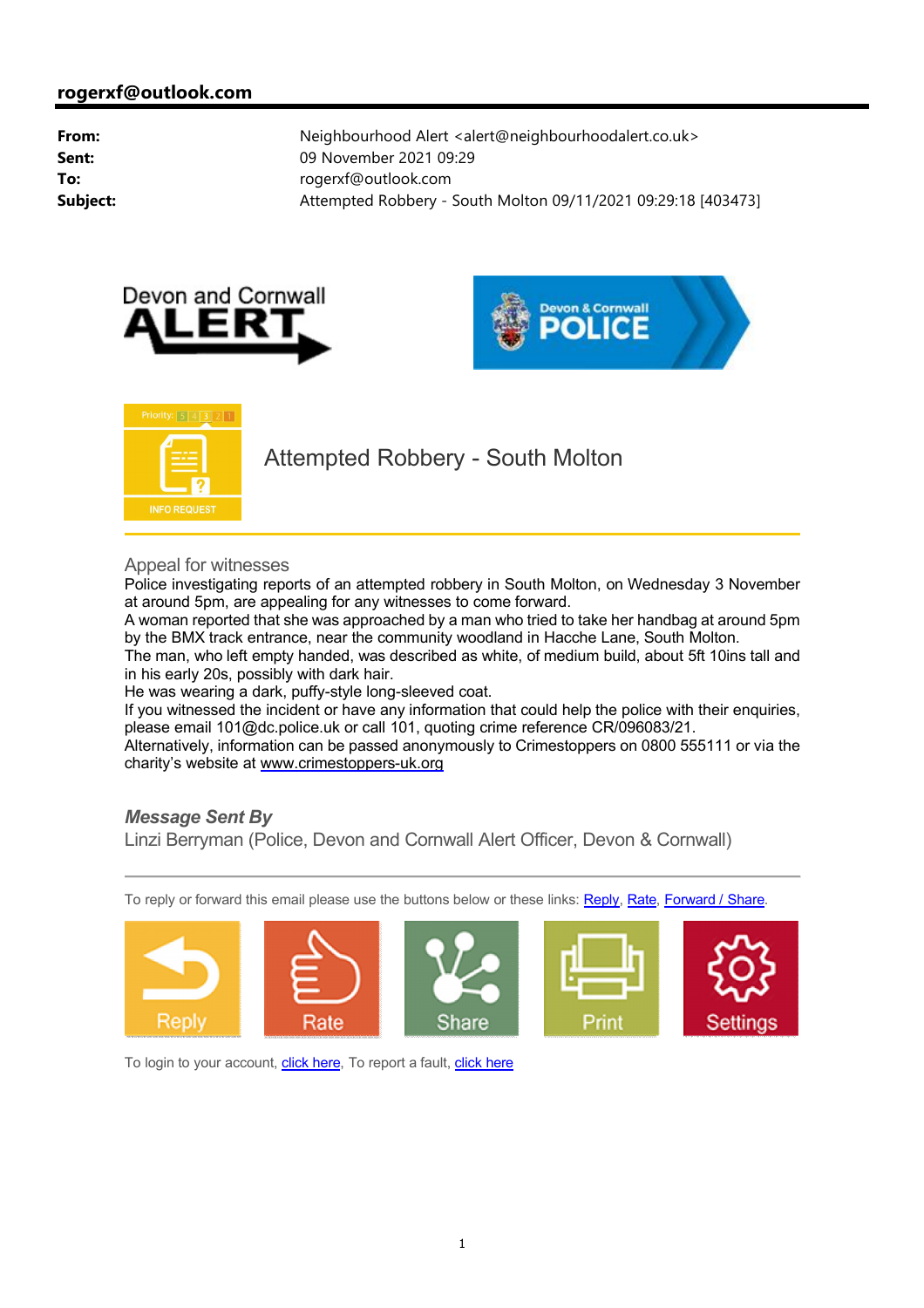



**Priority:**  $5 | 4 | 3 | 2 | 1$ **INFO REQUEST** 

Attempted Robbery - South Molton

Appeal for witnesses

Police investigating reports of an attempted robbery in South Molton, on Wednesday 3 November at around 5pm, are appealing for any witnesses to come forward.

A woman reported that she was approached by a man who tried to take her handbag at around 5pm by the BMX track entrance, near the community woodland in Hacche Lane, South Molton.

The man, who left empty handed, was described as white, of medium build, about 5ft 10ins tall and in his early 20s, possibly with dark hair.

He was wearing a dark, puffy-style long-sleeved coat.

If you witnessed the incident or have any information that could help the police with their enquiries, please email 101@dc.police.uk or call 101, quoting crime reference CR/096083/21.

Alternatively, information can be passed anonymously to Crimestoppers on 0800 555111 or via the charity's website at <www.crimestoppers-uk.org>

## *Message Sent By*

Linzi Berryman (Police, Devon and Cornwall Alert Officer, Devon & Cornwall)

To reply or forward this email please use the buttons below or these links: Reply, Rate, Forward / Share.



To login to your account, click here, To report a fault, click here